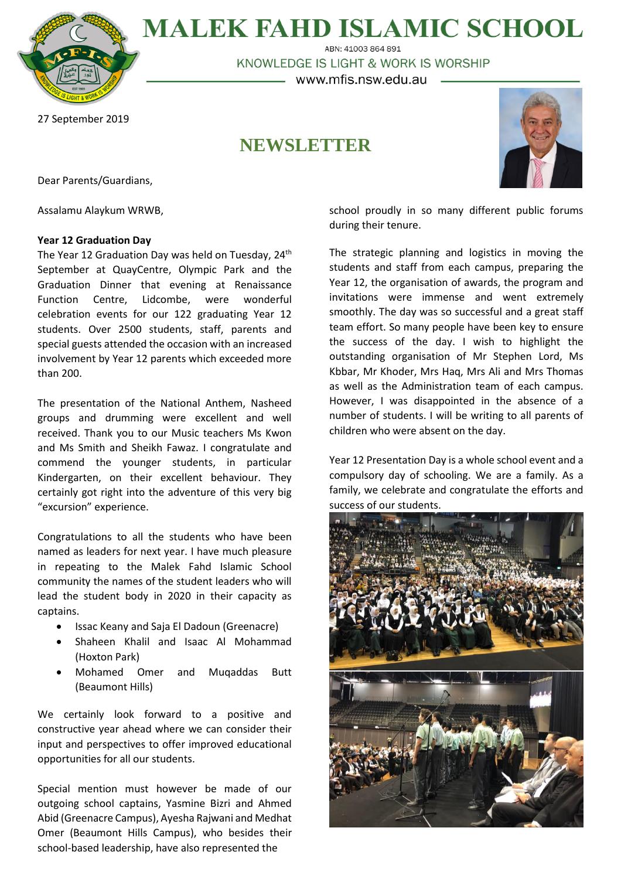

**MALEK FAHD ISLAMIC SCHOOL** ABN: 41003 864 891

KNOWLEDGE IS LIGHT & WORK IS WORSHIP

– www.mfis.nsw.edu.au –

## 27 September 2019

# **NEWSLETTER**



Dear Parents/Guardians,

Assalamu Alaykum WRWB,

## **Year 12 Graduation Day**

The Year 12 Graduation Day was held on Tuesday, 24<sup>th</sup> September at QuayCentre, Olympic Park and the Graduation Dinner that evening at Renaissance Function Centre, Lidcombe, were wonderful celebration events for our 122 graduating Year 12 students. Over 2500 students, staff, parents and special guests attended the occasion with an increased involvement by Year 12 parents which exceeded more than 200.

The presentation of the National Anthem, Nasheed groups and drumming were excellent and well received. Thank you to our Music teachers Ms Kwon and Ms Smith and Sheikh Fawaz. I congratulate and commend the younger students, in particular Kindergarten, on their excellent behaviour. They certainly got right into the adventure of this very big "excursion" experience.

Congratulations to all the students who have been named as leaders for next year. I have much pleasure in repeating to the Malek Fahd Islamic School community the names of the student leaders who will lead the student body in 2020 in their capacity as captains.

- Issac Keany and Saja El Dadoun (Greenacre)
- Shaheen Khalil and Isaac Al Mohammad (Hoxton Park)
- Mohamed Omer and Muqaddas Butt (Beaumont Hills)

We certainly look forward to a positive and constructive year ahead where we can consider their input and perspectives to offer improved educational opportunities for all our students.

Special mention must however be made of our outgoing school captains, Yasmine Bizri and Ahmed Abid (Greenacre Campus), Ayesha Rajwani and Medhat Omer (Beaumont Hills Campus), who besides their school-based leadership, have also represented the

school proudly in so many different public forums during their tenure.

The strategic planning and logistics in moving the students and staff from each campus, preparing the Year 12, the organisation of awards, the program and invitations were immense and went extremely smoothly. The day was so successful and a great staff team effort. So many people have been key to ensure the success of the day. I wish to highlight the outstanding organisation of Mr Stephen Lord, Ms Kbbar, Mr Khoder, Mrs Haq, Mrs Ali and Mrs Thomas as well as the Administration team of each campus. However, I was disappointed in the absence of a number of students. I will be writing to all parents of children who were absent on the day.

Year 12 Presentation Day is a whole school event and a compulsory day of schooling. We are a family. As a family, we celebrate and congratulate the efforts and success of our students.